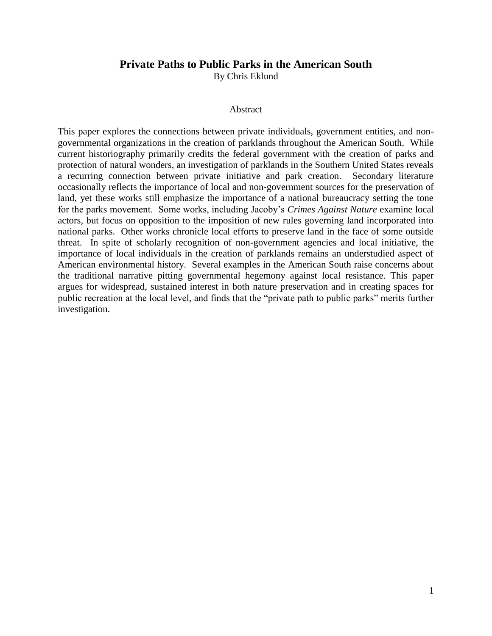## **Private Paths to Public Parks in the American South**

By Chris Eklund

## Abstract

This paper explores the connections between private individuals, government entities, and nongovernmental organizations in the creation of parklands throughout the American South. While current historiography primarily credits the federal government with the creation of parks and protection of natural wonders, an investigation of parklands in the Southern United States reveals a recurring connection between private initiative and park creation. Secondary literature occasionally reflects the importance of local and non-government sources for the preservation of land, yet these works still emphasize the importance of a national bureaucracy setting the tone for the parks movement. Some works, including Jacoby's *Crimes Against Nature* examine local actors, but focus on opposition to the imposition of new rules governing land incorporated into national parks. Other works chronicle local efforts to preserve land in the face of some outside threat. In spite of scholarly recognition of non-government agencies and local initiative, the importance of local individuals in the creation of parklands remains an understudied aspect of American environmental history. Several examples in the American South raise concerns about the traditional narrative pitting governmental hegemony against local resistance. This paper argues for widespread, sustained interest in both nature preservation and in creating spaces for public recreation at the local level, and finds that the "private path to public parks" merits further investigation.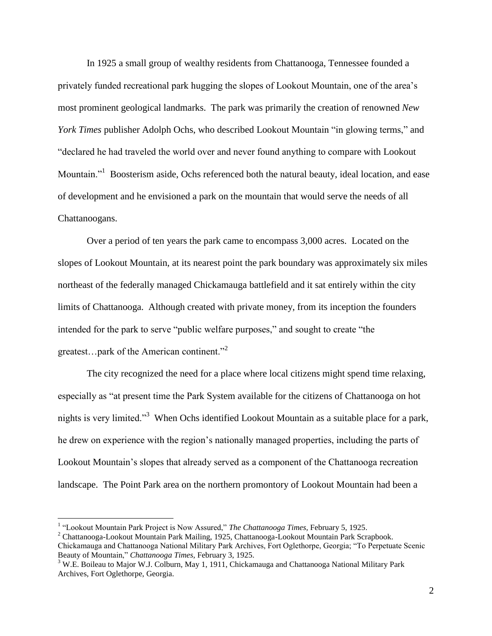In 1925 a small group of wealthy residents from Chattanooga, Tennessee founded a privately funded recreational park hugging the slopes of Lookout Mountain, one of the area's most prominent geological landmarks. The park was primarily the creation of renowned *New York Times* publisher Adolph Ochs, who described Lookout Mountain "in glowing terms," and "declared he had traveled the world over and never found anything to compare with Lookout Mountain."<sup>1</sup> Boosterism aside, Ochs referenced both the natural beauty, ideal location, and ease of development and he envisioned a park on the mountain that would serve the needs of all Chattanoogans.

Over a period of ten years the park came to encompass 3,000 acres. Located on the slopes of Lookout Mountain, at its nearest point the park boundary was approximately six miles northeast of the federally managed Chickamauga battlefield and it sat entirely within the city limits of Chattanooga. Although created with private money, from its inception the founders intended for the park to serve "public welfare purposes," and sought to create "the greatest…park of the American continent."<sup>2</sup>

The city recognized the need for a place where local citizens might spend time relaxing, especially as "at present time the Park System available for the citizens of Chattanooga on hot nights is very limited."<sup>3</sup> When Ochs identified Lookout Mountain as a suitable place for a park, he drew on experience with the region's nationally managed properties, including the parts of Lookout Mountain's slopes that already served as a component of the Chattanooga recreation landscape. The Point Park area on the northern promontory of Lookout Mountain had been a

<sup>&</sup>lt;sup>1</sup> "Lookout Mountain Park Project is Now Assured," *The Chattanooga Times*, February 5, 1925.

<sup>2</sup> Chattanooga-Lookout Mountain Park Mailing, 1925, Chattanooga-Lookout Mountain Park Scrapbook. Chickamauga and Chattanooga National Military Park Archives, Fort Oglethorpe, Georgia; "To Perpetuate Scenic Beauty of Mountain," *Chattanooga Times,* February 3, 1925.

<sup>&</sup>lt;sup>3</sup> W.E. Boileau to Major W.J. Colburn, May 1, 1911, Chickamauga and Chattanooga National Military Park Archives, Fort Oglethorpe, Georgia.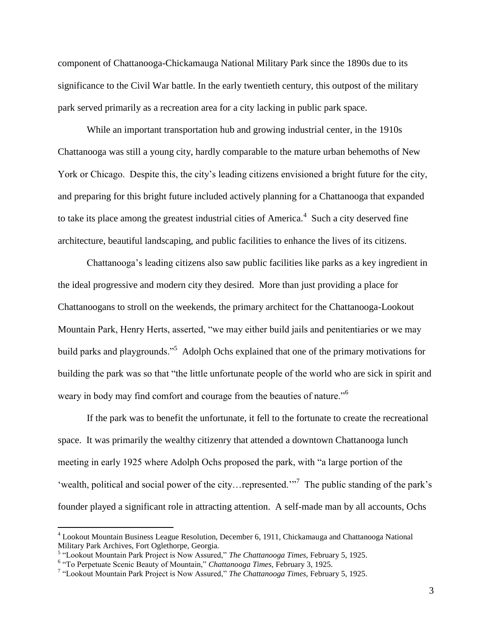component of Chattanooga-Chickamauga National Military Park since the 1890s due to its significance to the Civil War battle. In the early twentieth century, this outpost of the military park served primarily as a recreation area for a city lacking in public park space.

While an important transportation hub and growing industrial center, in the 1910s Chattanooga was still a young city, hardly comparable to the mature urban behemoths of New York or Chicago. Despite this, the city's leading citizens envisioned a bright future for the city, and preparing for this bright future included actively planning for a Chattanooga that expanded to take its place among the greatest industrial cities of America.<sup>4</sup> Such a city deserved fine architecture, beautiful landscaping, and public facilities to enhance the lives of its citizens.

Chattanooga's leading citizens also saw public facilities like parks as a key ingredient in the ideal progressive and modern city they desired. More than just providing a place for Chattanoogans to stroll on the weekends, the primary architect for the Chattanooga-Lookout Mountain Park, Henry Herts, asserted, "we may either build jails and penitentiaries or we may build parks and playgrounds."<sup>5</sup> Adolph Ochs explained that one of the primary motivations for building the park was so that "the little unfortunate people of the world who are sick in spirit and weary in body may find comfort and courage from the beauties of nature."<sup>6</sup>

If the park was to benefit the unfortunate, it fell to the fortunate to create the recreational space. It was primarily the wealthy citizenry that attended a downtown Chattanooga lunch meeting in early 1925 where Adolph Ochs proposed the park, with "a large portion of the 'wealth, political and social power of the city... represented.'"<sup>7</sup> The public standing of the park's founder played a significant role in attracting attention. A self-made man by all accounts, Ochs

<sup>4</sup> Lookout Mountain Business League Resolution, December 6, 1911, Chickamauga and Chattanooga National Military Park Archives, Fort Oglethorpe, Georgia.

<sup>5</sup> "Lookout Mountain Park Project is Now Assured," *The Chattanooga Times,* February 5, 1925.

<sup>&</sup>lt;sup>6</sup> "To Perpetuate Scenic Beauty of Mountain," *Chattanooga Times*, February 3, 1925.

<sup>7</sup> "Lookout Mountain Park Project is Now Assured," *The Chattanooga Times,* February 5, 1925.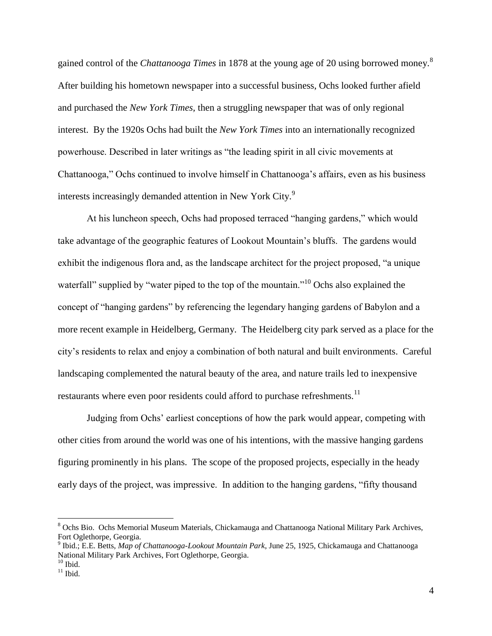gained control of the *Chattanooga Times* in 1878 at the young age of 20 using borrowed money.<sup>8</sup> After building his hometown newspaper into a successful business, Ochs looked further afield and purchased the *New York Times,* then a struggling newspaper that was of only regional interest. By the 1920s Ochs had built the *New York Times* into an internationally recognized powerhouse. Described in later writings as "the leading spirit in all civic movements at Chattanooga," Ochs continued to involve himself in Chattanooga's affairs, even as his business interests increasingly demanded attention in New York City.<sup>9</sup>

At his luncheon speech, Ochs had proposed terraced "hanging gardens," which would take advantage of the geographic features of Lookout Mountain's bluffs. The gardens would exhibit the indigenous flora and, as the landscape architect for the project proposed, "a unique waterfall" supplied by "water piped to the top of the mountain."<sup>10</sup> Ochs also explained the concept of "hanging gardens" by referencing the legendary hanging gardens of Babylon and a more recent example in Heidelberg, Germany. The Heidelberg city park served as a place for the city's residents to relax and enjoy a combination of both natural and built environments. Careful landscaping complemented the natural beauty of the area, and nature trails led to inexpensive restaurants where even poor residents could afford to purchase refreshments.<sup>11</sup>

Judging from Ochs' earliest conceptions of how the park would appear, competing with other cities from around the world was one of his intentions, with the massive hanging gardens figuring prominently in his plans. The scope of the proposed projects, especially in the heady early days of the project, was impressive. In addition to the hanging gardens, "fifty thousand

<sup>&</sup>lt;sup>8</sup> Ochs Bio. Ochs Memorial Museum Materials, Chickamauga and Chattanooga National Military Park Archives, Fort Oglethorpe, Georgia.

<sup>9</sup> Ibid.; E.E. Betts, *Map of Chattanooga-Lookout Mountain Park*, June 25, 1925, Chickamauga and Chattanooga National Military Park Archives, Fort Oglethorpe, Georgia.  $10$  Ibid.

 $11$  Ibid.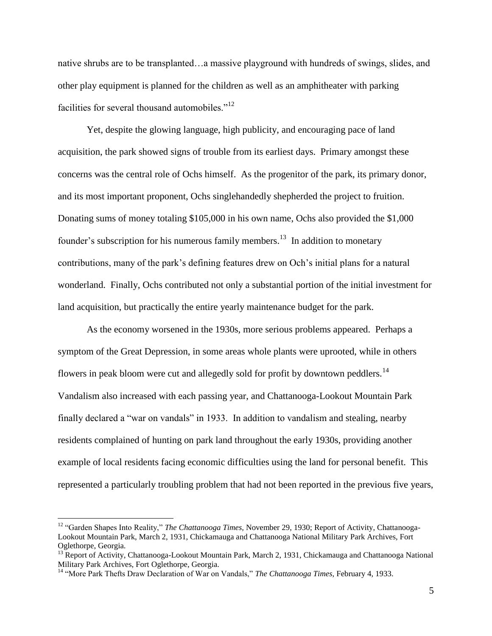native shrubs are to be transplanted…a massive playground with hundreds of swings, slides, and other play equipment is planned for the children as well as an amphitheater with parking facilities for several thousand automobiles."<sup>12</sup>

Yet, despite the glowing language, high publicity, and encouraging pace of land acquisition, the park showed signs of trouble from its earliest days. Primary amongst these concerns was the central role of Ochs himself. As the progenitor of the park, its primary donor, and its most important proponent, Ochs singlehandedly shepherded the project to fruition. Donating sums of money totaling \$105,000 in his own name, Ochs also provided the \$1,000 founder's subscription for his numerous family members.<sup>13</sup> In addition to monetary contributions, many of the park's defining features drew on Och's initial plans for a natural wonderland. Finally, Ochs contributed not only a substantial portion of the initial investment for land acquisition, but practically the entire yearly maintenance budget for the park.

As the economy worsened in the 1930s, more serious problems appeared. Perhaps a symptom of the Great Depression, in some areas whole plants were uprooted, while in others flowers in peak bloom were cut and allegedly sold for profit by downtown peddlers.<sup>14</sup> Vandalism also increased with each passing year, and Chattanooga-Lookout Mountain Park finally declared a "war on vandals" in 1933. In addition to vandalism and stealing, nearby residents complained of hunting on park land throughout the early 1930s, providing another example of local residents facing economic difficulties using the land for personal benefit. This represented a particularly troubling problem that had not been reported in the previous five years,

<sup>12</sup> "Garden Shapes Into Reality," *The Chattanooga Times,* November 29, 1930; Report of Activity, Chattanooga-Lookout Mountain Park, March 2, 1931, Chickamauga and Chattanooga National Military Park Archives, Fort Oglethorpe, Georgia.

<sup>&</sup>lt;sup>13</sup> Report of Activity, Chattanooga-Lookout Mountain Park, March 2, 1931, Chickamauga and Chattanooga National Military Park Archives, Fort Oglethorpe, Georgia.

<sup>&</sup>lt;sup>14</sup> "More Park Thefts Draw Declaration of War on Vandals," *The Chattanooga Times*, February 4, 1933.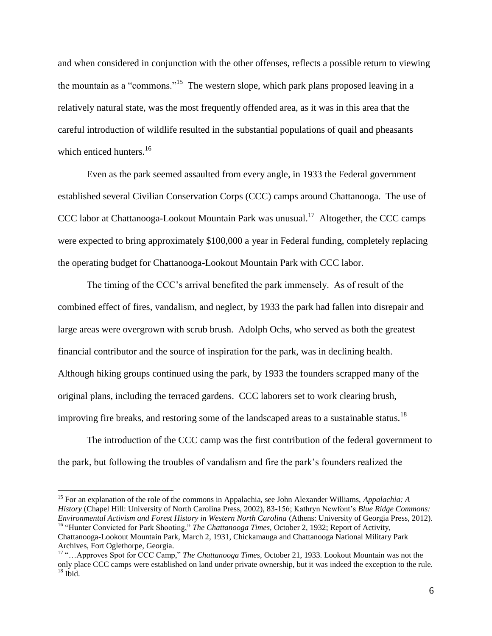and when considered in conjunction with the other offenses, reflects a possible return to viewing the mountain as a "commons."<sup>15</sup> The western slope, which park plans proposed leaving in a relatively natural state, was the most frequently offended area, as it was in this area that the careful introduction of wildlife resulted in the substantial populations of quail and pheasants which enticed hunters. $16$ 

Even as the park seemed assaulted from every angle, in 1933 the Federal government established several Civilian Conservation Corps (CCC) camps around Chattanooga. The use of CCC labor at Chattanooga-Lookout Mountain Park was unusual.<sup>17</sup> Altogether, the CCC camps were expected to bring approximately \$100,000 a year in Federal funding, completely replacing the operating budget for Chattanooga-Lookout Mountain Park with CCC labor.

The timing of the CCC's arrival benefited the park immensely. As of result of the combined effect of fires, vandalism, and neglect, by 1933 the park had fallen into disrepair and large areas were overgrown with scrub brush. Adolph Ochs, who served as both the greatest financial contributor and the source of inspiration for the park, was in declining health. Although hiking groups continued using the park, by 1933 the founders scrapped many of the original plans, including the terraced gardens. CCC laborers set to work clearing brush, improving fire breaks, and restoring some of the landscaped areas to a sustainable status.<sup>18</sup>

The introduction of the CCC camp was the first contribution of the federal government to the park, but following the troubles of vandalism and fire the park's founders realized the

<sup>15</sup> For an explanation of the role of the commons in Appalachia, see John Alexander Williams, *Appalachia: A History* (Chapel Hill: University of North Carolina Press, 2002), 83-156; Kathryn Newfont's *Blue Ridge Commons: Environmental Activism and Forest History in Western North Carolina* (Athens: University of Georgia Press, 2012). <sup>16</sup> "Hunter Convicted for Park Shooting," *The Chattanooga Times,* October 2, 1932; Report of Activity, Chattanooga-Lookout Mountain Park, March 2, 1931, Chickamauga and Chattanooga National Military Park Archives, Fort Oglethorpe, Georgia.

<sup>17</sup> "…Approves Spot for CCC Camp," *The Chattanooga Times,* October 21, 1933. Lookout Mountain was not the only place CCC camps were established on land under private ownership, but it was indeed the exception to the rule.  $18$  Ibid.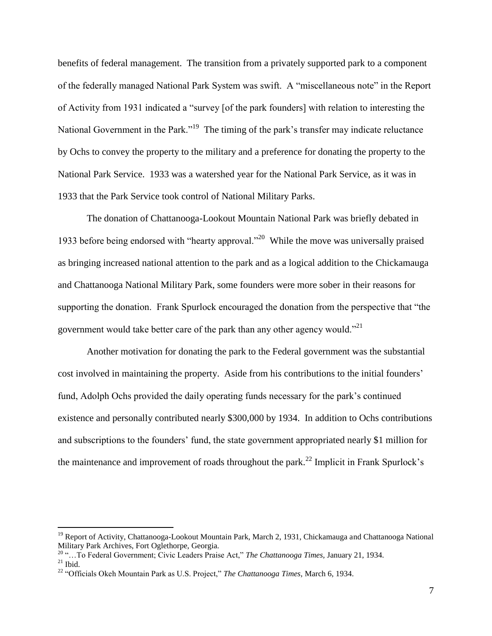benefits of federal management. The transition from a privately supported park to a component of the federally managed National Park System was swift. A "miscellaneous note" in the Report of Activity from 1931 indicated a "survey [of the park founders] with relation to interesting the National Government in the Park."<sup>19</sup> The timing of the park's transfer may indicate reluctance by Ochs to convey the property to the military and a preference for donating the property to the National Park Service. 1933 was a watershed year for the National Park Service, as it was in 1933 that the Park Service took control of National Military Parks.

The donation of Chattanooga-Lookout Mountain National Park was briefly debated in 1933 before being endorsed with "hearty approval."<sup>20</sup> While the move was universally praised as bringing increased national attention to the park and as a logical addition to the Chickamauga and Chattanooga National Military Park, some founders were more sober in their reasons for supporting the donation. Frank Spurlock encouraged the donation from the perspective that "the government would take better care of the park than any other agency would."<sup>21</sup>

Another motivation for donating the park to the Federal government was the substantial cost involved in maintaining the property. Aside from his contributions to the initial founders' fund, Adolph Ochs provided the daily operating funds necessary for the park's continued existence and personally contributed nearly \$300,000 by 1934. In addition to Ochs contributions and subscriptions to the founders' fund, the state government appropriated nearly \$1 million for the maintenance and improvement of roads throughout the park.<sup>22</sup> Implicit in Frank Spurlock's

<sup>&</sup>lt;sup>19</sup> Report of Activity, Chattanooga-Lookout Mountain Park, March 2, 1931, Chickamauga and Chattanooga National Military Park Archives, Fort Oglethorpe, Georgia.

<sup>20</sup> "…To Federal Government; Civic Leaders Praise Act," *The Chattanooga Times,* January 21, 1934.  $21$  Ibid.

<sup>22</sup> "Officials Okeh Mountain Park as U.S. Project," *The Chattanooga Times,* March 6, 1934.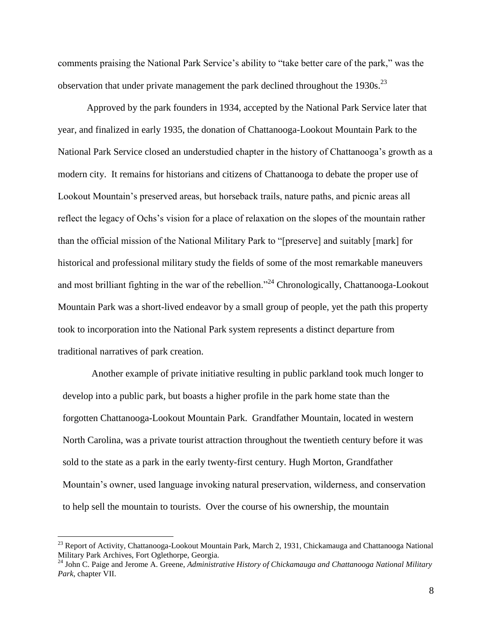comments praising the National Park Service's ability to "take better care of the park," was the observation that under private management the park declined throughout the 1930s.<sup>23</sup>

Approved by the park founders in 1934, accepted by the National Park Service later that year, and finalized in early 1935, the donation of Chattanooga-Lookout Mountain Park to the National Park Service closed an understudied chapter in the history of Chattanooga's growth as a modern city. It remains for historians and citizens of Chattanooga to debate the proper use of Lookout Mountain's preserved areas, but horseback trails, nature paths, and picnic areas all reflect the legacy of Ochs's vision for a place of relaxation on the slopes of the mountain rather than the official mission of the National Military Park to "[preserve] and suitably [mark] for historical and professional military study the fields of some of the most remarkable maneuvers and most brilliant fighting in the war of the rebellion."<sup>24</sup> Chronologically, Chattanooga-Lookout Mountain Park was a short-lived endeavor by a small group of people, yet the path this property took to incorporation into the National Park system represents a distinct departure from traditional narratives of park creation.

Another example of private initiative resulting in public parkland took much longer to develop into a public park, but boasts a higher profile in the park home state than the forgotten Chattanooga-Lookout Mountain Park. Grandfather Mountain, located in western North Carolina, was a private tourist attraction throughout the twentieth century before it was sold to the state as a park in the early twenty-first century. Hugh Morton, Grandfather Mountain's owner, used language invoking natural preservation, wilderness, and conservation to help sell the mountain to tourists. Over the course of his ownership, the mountain

<sup>&</sup>lt;sup>23</sup> Report of Activity, Chattanooga-Lookout Mountain Park, March 2, 1931, Chickamauga and Chattanooga National Military Park Archives, Fort Oglethorpe, Georgia.

<sup>24</sup> John C. Paige and Jerome A. Greene, *Administrative History of Chickamauga and Chattanooga National Military Park*, chapter VII.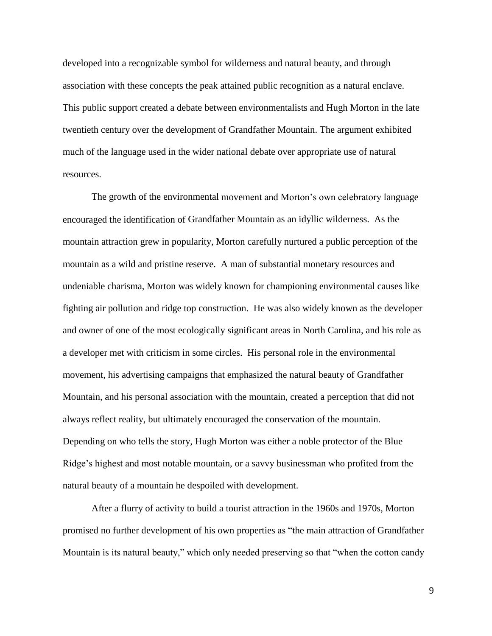developed into a recognizable symbol for wilderness and natural beauty, and through association with these concepts the peak attained public recognition as a natural enclave. This public support created a debate between environmentalists and Hugh Morton in the late twentieth century over the development of Grandfather Mountain. The argument exhibited much of the language used in the wider national debate over appropriate use of natural resources.

The growth of the environmental movement and Morton's own celebratory language encouraged the identification of Grandfather Mountain as an idyllic wilderness. As the mountain attraction grew in popularity, Morton carefully nurtured a public perception of the mountain as a wild and pristine reserve. A man of substantial monetary resources and undeniable charisma, Morton was widely known for championing environmental causes like fighting air pollution and ridge top construction. He was also widely known as the developer and owner of one of the most ecologically significant areas in North Carolina, and his role as a developer met with criticism in some circles. His personal role in the environmental movement, his advertising campaigns that emphasized the natural beauty of Grandfather Mountain, and his personal association with the mountain, created a perception that did not always reflect reality, but ultimately encouraged the conservation of the mountain. Depending on who tells the story, Hugh Morton was either a noble protector of the Blue Ridge's highest and most notable mountain, or a savvy businessman who profited from the natural beauty of a mountain he despoiled with development.

After a flurry of activity to build a tourist attraction in the 1960s and 1970s, Morton promised no further development of his own properties as "the main attraction of Grandfather Mountain is its natural beauty," which only needed preserving so that "when the cotton candy

9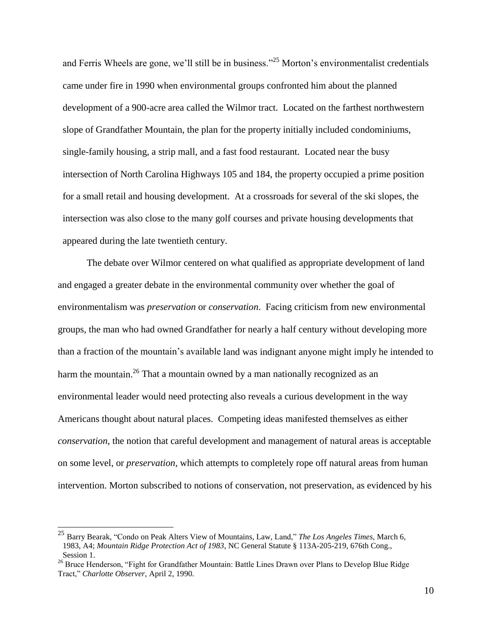and Ferris Wheels are gone, we'll still be in business."<sup>25</sup> Morton's environmentalist credentials came under fire in 1990 when environmental groups confronted him about the planned development of a 900-acre area called the Wilmor tract. Located on the farthest northwestern slope of Grandfather Mountain, the plan for the property initially included condominiums, single-family housing, a strip mall, and a fast food restaurant. Located near the busy intersection of North Carolina Highways 105 and 184, the property occupied a prime position for a small retail and housing development. At a crossroads for several of the ski slopes, the intersection was also close to the many golf courses and private housing developments that appeared during the late twentieth century.

The debate over Wilmor centered on what qualified as appropriate development of land and engaged a greater debate in the environmental community over whether the goal of environmentalism was *preservation* or *conservation*. Facing criticism from new environmental groups, the man who had owned Grandfather for nearly a half century without developing more than a fraction of the mountain's available land was indignant anyone might imply he intended to harm the mountain.<sup>26</sup> That a mountain owned by a man nationally recognized as an environmental leader would need protecting also reveals a curious development in the way Americans thought about natural places. Competing ideas manifested themselves as either *conservation*, the notion that careful development and management of natural areas is acceptable on some level, or *preservation*, which attempts to completely rope off natural areas from human intervention. Morton subscribed to notions of conservation, not preservation, as evidenced by his

 $\overline{\phantom{a}}$ 

<sup>25</sup> Barry Bearak, "Condo on Peak Alters View of Mountains, Law, Land," *The Los Angeles Times*, March 6, 1983, A4; *Mountain Ridge Protection Act of 1983*, NC General Statute § 113A-205-219, 676th Cong., Session 1.

<sup>&</sup>lt;sup>26</sup> Bruce Henderson, "Fight for Grandfather Mountain: Battle Lines Drawn over Plans to Develop Blue Ridge Tract," *Charlotte Observer*, April 2, 1990.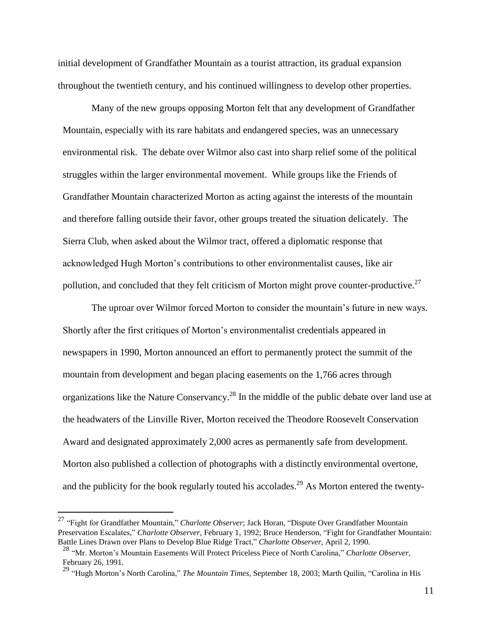initial development of Grandfather Mountain as a tourist attraction, its gradual expansion throughout the twentieth century, and his continued willingness to develop other properties.

Many of the new groups opposing Morton felt that any development of Grandfather Mountain, especially with its rare habitats and endangered species, was an unnecessary environmental risk. The debate over Wilmor also cast into sharp relief some of the political struggles within the larger environmental movement. While groups like the Friends of Grandfather Mountain characterized Morton as acting against the interests of the mountain and therefore falling outside their favor, other groups treated the situation delicately. The Sierra Club, when asked about the Wilmor tract, offered a diplomatic response that acknowledged Hugh Morton's contributions to other environmentalist causes, like air pollution, and concluded that they felt criticism of Morton might prove counter-productive.<sup>27</sup>

The uproar over Wilmor forced Morton to consider the mountain's future in new ways. Shortly after the first critiques of Morton's environmentalist credentials appeared in newspapers in 1990, Morton announced an effort to permanently protect the summit of the mountain from development and began placing easements on the 1,766 acres through organizations like the Nature Conservancy.<sup>28</sup> In the middle of the public debate over land use at the headwaters of the Linville River, Morton received the Theodore Roosevelt Conservation Award and designated approximately 2,000 acres as permanently safe from development. Morton also published a collection of photographs with a distinctly environmental overtone, and the publicity for the book regularly touted his accolades.<sup>29</sup> As Morton entered the twenty-

<sup>27</sup> "Fight for Grandfather Mountain," *Charlotte Observer*; Jack Horan, "Dispute Over Grandfather Mountain Preservation Escalates," *Charlotte Observer,* February 1, 1992; Bruce Henderson, "Fight for Grandfather Mountain: Battle Lines Drawn over Plans to Develop Blue Ridge Tract," *Charlotte Observer,* April 2, 1990.

<sup>28</sup> "Mr. Morton's Mountain Easements Will Protect Priceless Piece of North Carolina," *Charlotte Observer,* February 26, 1991.

<sup>29</sup> "Hugh Morton's North Carolina," *The Mountain Times,* September 18, 2003; Marth Quilin, "Carolina in His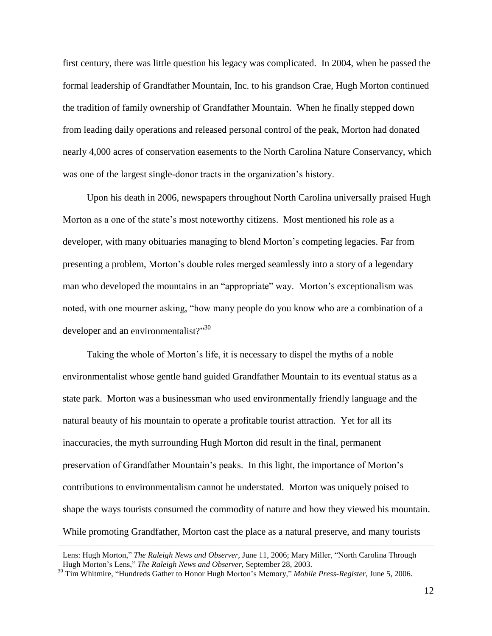first century, there was little question his legacy was complicated. In 2004, when he passed the formal leadership of Grandfather Mountain, Inc. to his grandson Crae, Hugh Morton continued the tradition of family ownership of Grandfather Mountain. When he finally stepped down from leading daily operations and released personal control of the peak, Morton had donated nearly 4,000 acres of conservation easements to the North Carolina Nature Conservancy, which was one of the largest single-donor tracts in the organization's history.

Upon his death in 2006, newspapers throughout North Carolina universally praised Hugh Morton as a one of the state's most noteworthy citizens. Most mentioned his role as a developer, with many obituaries managing to blend Morton's competing legacies. Far from presenting a problem, Morton's double roles merged seamlessly into a story of a legendary man who developed the mountains in an "appropriate" way. Morton's exceptionalism was noted, with one mourner asking, "how many people do you know who are a combination of a developer and an environmentalist?"<sup>30</sup>

Taking the whole of Morton's life, it is necessary to dispel the myths of a noble environmentalist whose gentle hand guided Grandfather Mountain to its eventual status as a state park. Morton was a businessman who used environmentally friendly language and the natural beauty of his mountain to operate a profitable tourist attraction. Yet for all its inaccuracies, the myth surrounding Hugh Morton did result in the final, permanent preservation of Grandfather Mountain's peaks. In this light, the importance of Morton's contributions to environmentalism cannot be understated. Morton was uniquely poised to shape the ways tourists consumed the commodity of nature and how they viewed his mountain. While promoting Grandfather, Morton cast the place as a natural preserve, and many tourists

Lens: Hugh Morton," *The Raleigh News and Observer,* June 11, 2006; Mary Miller, "North Carolina Through Hugh Morton's Lens," *The Raleigh News and Observer,* September 28, 2003.

<sup>30</sup> Tim Whitmire, "Hundreds Gather to Honor Hugh Morton's Memory," *Mobile Press-Register,* June 5, 2006.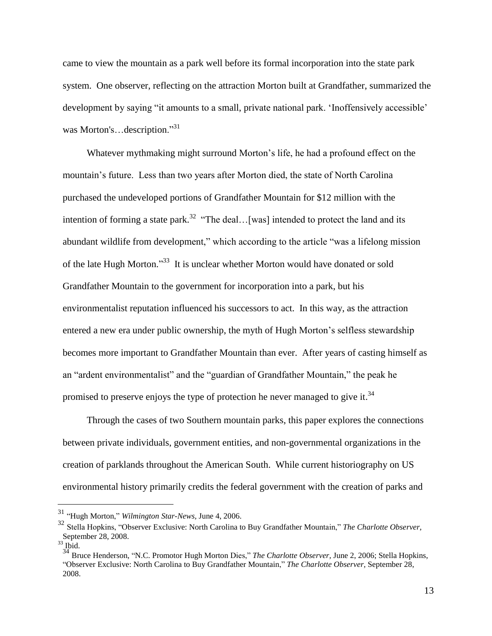came to view the mountain as a park well before its formal incorporation into the state park system. One observer, reflecting on the attraction Morton built at Grandfather, summarized the development by saying "it amounts to a small, private national park. 'Inoffensively accessible' was Morton's…description."<sup>31</sup>

Whatever mythmaking might surround Morton's life, he had a profound effect on the mountain's future. Less than two years after Morton died, the state of North Carolina purchased the undeveloped portions of Grandfather Mountain for \$12 million with the intention of forming a state park.<sup>32</sup> "The deal... [was] intended to protect the land and its abundant wildlife from development," which according to the article "was a lifelong mission of the late Hugh Morton."<sup>33</sup> It is unclear whether Morton would have donated or sold Grandfather Mountain to the government for incorporation into a park, but his environmentalist reputation influenced his successors to act. In this way, as the attraction entered a new era under public ownership, the myth of Hugh Morton's selfless stewardship becomes more important to Grandfather Mountain than ever. After years of casting himself as an "ardent environmentalist" and the "guardian of Grandfather Mountain," the peak he promised to preserve enjoys the type of protection he never managed to give it.<sup>34</sup>

Through the cases of two Southern mountain parks, this paper explores the connections between private individuals, government entities, and non-governmental organizations in the creation of parklands throughout the American South. While current historiography on US environmental history primarily credits the federal government with the creation of parks and

<sup>31</sup> "Hugh Morton," *Wilmington Star-News,* June 4, 2006.

<sup>32</sup> Stella Hopkins, "Observer Exclusive: North Carolina to Buy Grandfather Mountain," *The Charlotte Observer,* September 28, 2008.

 $33$  Ibid.

<sup>&</sup>lt;sup>34</sup> Bruce Henderson, "N.C. Promotor Hugh Morton Dies," *The Charlotte Observer*, June 2, 2006; Stella Hopkins, "Observer Exclusive: North Carolina to Buy Grandfather Mountain," *The Charlotte Observer,* September 28, 2008.